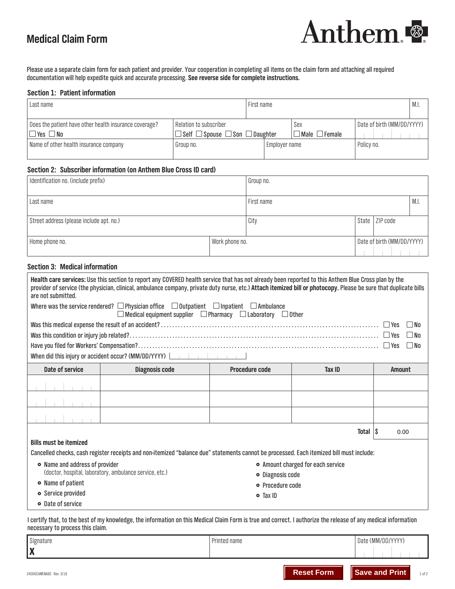# **Medical Claim Form**



Please use a separate claim form for each patient and provider. Your cooperation in completing all items on the claim form and attaching all required documentation will help expedite quick and accurate processing. **See reverse side for complete instructions.**

## **Section 1: Patient information**

| Last name                                                                      |                                                                                | First name |               |                                  |                            | M.I. |
|--------------------------------------------------------------------------------|--------------------------------------------------------------------------------|------------|---------------|----------------------------------|----------------------------|------|
| Does the patient have other health insurance coverage?<br>$\Box$ Yes $\Box$ No | Relation to subscriber<br>$\Box$ Self $\Box$ Spouse $\Box$ Son $\Box$ Daughter |            |               | Sex<br>$\Box$ Male $\Box$ Female | Date of birth (MM/DD/YYYY) |      |
| Name of other health insurance company                                         | Group no.                                                                      |            | Employer name |                                  | Policy no.                 |      |

## **Section 2: Subscriber information (on Anthem Blue Cross ID card)**

| Identification no. (include prefix)      |                | Group no.  |       |                            |      |
|------------------------------------------|----------------|------------|-------|----------------------------|------|
| Last name                                |                | First name |       |                            | M.I. |
| Street address (please include apt. no.) |                | City       | State | ZIP code                   |      |
| Home phone no.                           | Work phone no. |            |       | Date of birth (MM/DD/YYYY) |      |

# **Section 3: Medical information**

| are not submitted.                                                  | Health care services: Use this section to report any COVERED health service that has not already been reported to this Anthem Blue Cross plan by the<br>provider of service (the physician, clinical, ambulance company, private duty nurse, etc.) Attach itemized bill or photocopy. Please be sure that duplicate bills |                       |        |                      |  |  |  |
|---------------------------------------------------------------------|---------------------------------------------------------------------------------------------------------------------------------------------------------------------------------------------------------------------------------------------------------------------------------------------------------------------------|-----------------------|--------|----------------------|--|--|--|
|                                                                     | Where was the service rendered? $\Box$ Physician office $\Box$ Outpatient $\Box$ Inpatient $\Box$ Ambulance<br>$\Box$ Medical equipment supplier $\Box$ Pharmacy $\Box$ Laboratory $\Box$ Other                                                                                                                           |                       |        |                      |  |  |  |
|                                                                     |                                                                                                                                                                                                                                                                                                                           |                       |        | $\Box$ No            |  |  |  |
|                                                                     |                                                                                                                                                                                                                                                                                                                           |                       |        | l INo                |  |  |  |
|                                                                     |                                                                                                                                                                                                                                                                                                                           |                       |        | ∣ IN∩                |  |  |  |
| When did this injury or accident occur? (MM/DD/YYYY) $\Box$         |                                                                                                                                                                                                                                                                                                                           |                       |        |                      |  |  |  |
| Date of service                                                     | <b>Diagnosis code</b>                                                                                                                                                                                                                                                                                                     | <b>Procedure code</b> | Tax ID | <b>Amount</b>        |  |  |  |
|                                                                     |                                                                                                                                                                                                                                                                                                                           |                       |        |                      |  |  |  |
|                                                                     |                                                                                                                                                                                                                                                                                                                           |                       |        |                      |  |  |  |
|                                                                     |                                                                                                                                                                                                                                                                                                                           |                       |        |                      |  |  |  |
|                                                                     |                                                                                                                                                                                                                                                                                                                           |                       | Total  | $\mathsf{S}$<br>0.00 |  |  |  |
| <b>Bills must be itemized</b>                                       |                                                                                                                                                                                                                                                                                                                           |                       |        |                      |  |  |  |
|                                                                     | Cancelled checks, cash register receipts and non-itemized "balance due" statements cannot be processed. Each itemized bill must include:                                                                                                                                                                                  |                       |        |                      |  |  |  |
| • Name and address of provider<br>• Amount charged for each service |                                                                                                                                                                                                                                                                                                                           |                       |        |                      |  |  |  |
|                                                                     | (doctor, hospital, laboratory, ambulance service, etc.)<br>· Diagnosis code                                                                                                                                                                                                                                               |                       |        |                      |  |  |  |
| • Name of patient                                                   |                                                                                                                                                                                                                                                                                                                           | • Procedure code      |        |                      |  |  |  |
| • Service provided<br>• Date of service                             |                                                                                                                                                                                                                                                                                                                           | $\circ$ Tax ID        |        |                      |  |  |  |
|                                                                     |                                                                                                                                                                                                                                                                                                                           |                       |        |                      |  |  |  |

I certify that, to the best of my knowledge, the information on this Medical Claim Form is true and correct. I authorize the release of any medical information necessary to process this claim.

|              | Date (MM/DD/YYYY) |
|--------------|-------------------|
| ` WA<br>I // |                   |